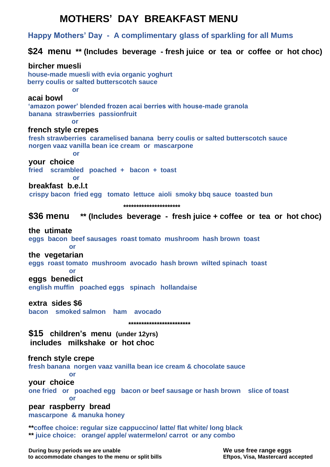# **MOTHERS' DAY BREAKFAST MENU**

 **Happy Mothers' Day - A complimentary glass of sparkling for all Mums**

# **\$24 menu \*\* (Includes beverage - fresh juice or tea or coffee or hot choc)**

 **bircher muesli house-made muesli with evia organic yoghurt berry coulis or salted butterscotch sauce or acai bowl 'amazon power' blended frozen acai berries with house-made granola banana strawberries passionfruit** *<u>oral</u>*  **french style crepes fresh strawberries caramelised banana berry coulis or salted butterscotch sauce norgen vaaz vanilla bean ice cream or mascarpone or your choice fried scrambled poached + bacon + toast or breakfast b.e.l.t crispy bacon fried egg tomato lettuce aioli smoky bbq sauce toasted bun \*\*\*\*\*\*\*\*\*\*\*\*\*\*\*\*\*\*\*\*\*\* \$36 menu \*\* (Includes beverage - fresh juice + coffee or tea or hot choc) the utimate eggs bacon beef sausages roast tomato mushroom hash brown toast or the vegetarian eggs roast tomato mushroom avocado hash brown wilted spinach toast or eggs benedict english muffin poached eggs spinach hollandaise extra sides \$6 bacon smoked salmon ham avocado \*\*\*\*\*\*\*\*\*\*\*\*\*\*\*\*\*\*\*\*\*\*\*\* \$15 children's menu (under 12yrs) includes milkshake or hot choc french style crepe fresh banana norgen vaaz vanilla bean ice cream & chocolate sauce or your choice one fried or poached egg bacon or beef sausage or hash brown slice of toast or pear raspberry bread mascarpone & manuka honey \*\*coffee choice: regular size cappuccino/ latte/ flat white/ long black \*\* juice choice: orange/ apple/ watermelon/ carrot or any combo**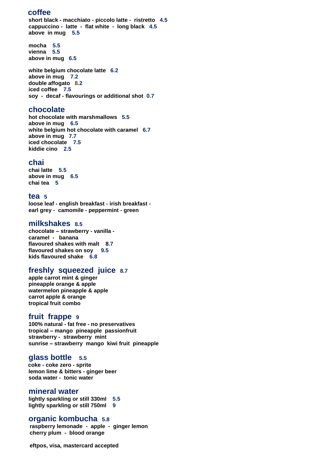## **coffee**

**short black - macchiato - piccolo latte - ristretto 4.5 cappuccino - latte - flat white - long black 4.5 above in mug 5.5**

**mocha 5.5 vienna 5.5 above in mug 6.5**

**white belgium chocolate latte 6.2 above in mug 7.2 double affogato 8.2 iced coffee 7.5 soy - decaf - flavourings or additional shot 0.7**

# **chocolate**

**hot chocolate with marshmallows 5.5 above in mug 6.5 white belgium hot chocolate with caramel 6.7 above in mug 7.7 iced chocolate 7.5 kiddie cino 2.5**

# **chai**

**chai latte 5.5 above in mug 6.5 chai tea 5**

## **tea 5**

**loose leaf - english breakfast - irish breakfast earl grey - camomile - peppermint - green**

## **milkshakes 8.5**

**chocolate – strawberry - vanilla caramel - banana flavoured shakes with malt 8.7 flavoured shakes on soy 9.5 kids flavoured shake 6.8**

## **freshly squeezed juice 8.7**

**apple carrot mint & ginger pineapple orange & apple watermelon pineapple & apple carrot apple & orange tropical fruit combo**

## **fruit frappe 9**

**100% natural - fat free - no preservatives tropical – mango pineapple passionfruit strawberry - strawberry mint sunrise – strawberry mango kiwi fruit pineapple**

## **glass bottle 5.5**

 **coke - coke zero - sprite lemon lime & bitters - ginger beer soda water - tonic water**

## **mineral water**

**lightly sparkling or still 330ml 5.5 lightly sparkling or still 750ml 9**

## **organic kombucha 5.8**

 **raspberry lemonade - apple - ginger lemon cherry plum - blood orange**

 **eftpos, visa, mastercard accepted**